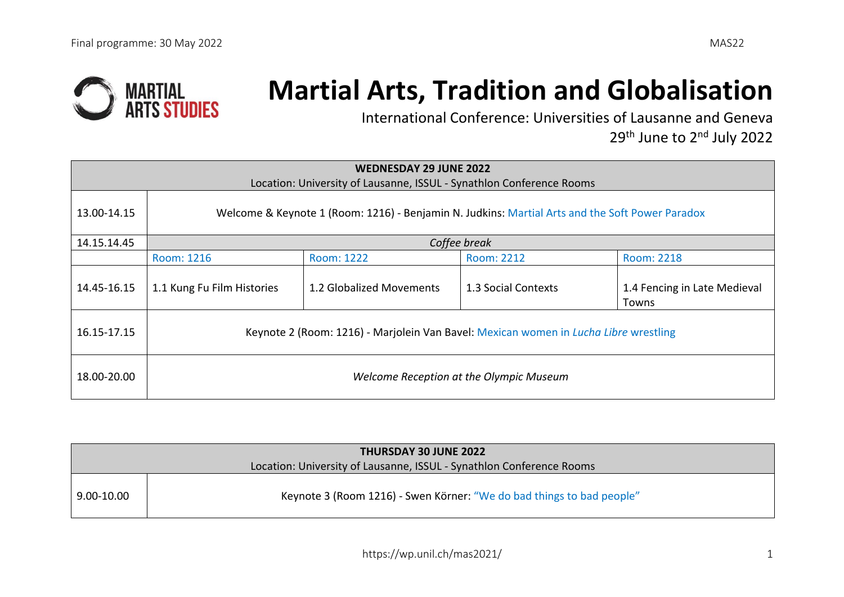

## **Martial Arts, Tradition and Globalisation**

International Conference: Universities of Lausanne and Geneva 29<sup>th</sup> June to 2<sup>nd</sup> July 2022

|             | <b>WEDNESDAY 29 JUNE 2022</b><br>Location: University of Lausanne, ISSUL - Synathlon Conference Rooms |                          |                     |                                              |  |
|-------------|-------------------------------------------------------------------------------------------------------|--------------------------|---------------------|----------------------------------------------|--|
| 13.00-14.15 | Welcome & Keynote 1 (Room: 1216) - Benjamin N. Judkins: Martial Arts and the Soft Power Paradox       |                          |                     |                                              |  |
| 14.15.14.45 |                                                                                                       |                          | Coffee break        |                                              |  |
|             | Room: 1216                                                                                            | Room: 1222               | Room: 2212          | Room: 2218                                   |  |
| 14.45-16.15 | 1.1 Kung Fu Film Histories                                                                            | 1.2 Globalized Movements | 1.3 Social Contexts | 1.4 Fencing in Late Medieval<br><b>Towns</b> |  |
| 16.15-17.15 | Keynote 2 (Room: 1216) - Marjolein Van Bavel: Mexican women in Lucha Libre wrestling                  |                          |                     |                                              |  |
| 18.00-20.00 | Welcome Reception at the Olympic Museum                                                               |                          |                     |                                              |  |

| <b>THURSDAY 30 JUNE 2022</b>                                         |                                                                       |  |  |
|----------------------------------------------------------------------|-----------------------------------------------------------------------|--|--|
| Location: University of Lausanne, ISSUL - Synathlon Conference Rooms |                                                                       |  |  |
| 9.00-10.00                                                           | Keynote 3 (Room 1216) - Swen Körner: "We do bad things to bad people" |  |  |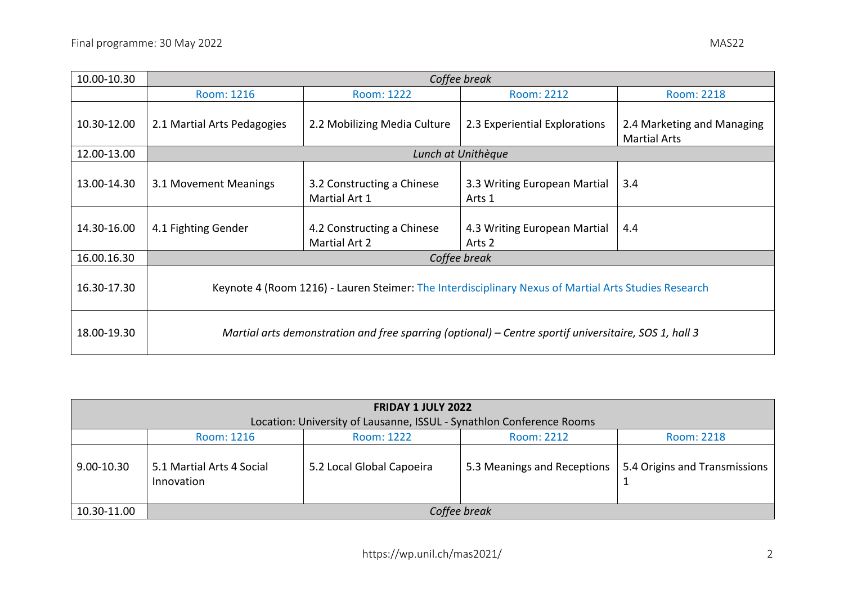| 10.00-10.30 | Coffee break                                                                                          |                                             |                                        |                                                   |  |
|-------------|-------------------------------------------------------------------------------------------------------|---------------------------------------------|----------------------------------------|---------------------------------------------------|--|
|             | Room: 1216                                                                                            | Room: 1222                                  | Room: 2212                             | <b>Room: 2218</b>                                 |  |
| 10.30-12.00 | 2.1 Martial Arts Pedagogies                                                                           | 2.2 Mobilizing Media Culture                | 2.3 Experiential Explorations          | 2.4 Marketing and Managing<br><b>Martial Arts</b> |  |
| 12.00-13.00 |                                                                                                       |                                             | Lunch at Unithèque                     |                                                   |  |
| 13.00-14.30 | 3.1 Movement Meanings                                                                                 | 3.2 Constructing a Chinese<br>Martial Art 1 | 3.3 Writing European Martial<br>Arts 1 | 3.4                                               |  |
| 14.30-16.00 | 4.1 Fighting Gender                                                                                   | 4.2 Constructing a Chinese<br>Martial Art 2 | 4.3 Writing European Martial<br>Arts 2 | 4.4                                               |  |
| 16.00.16.30 |                                                                                                       |                                             | Coffee break                           |                                                   |  |
| 16.30-17.30 | Keynote 4 (Room 1216) - Lauren Steimer: The Interdisciplinary Nexus of Martial Arts Studies Research  |                                             |                                        |                                                   |  |
| 18.00-19.30 | Martial arts demonstration and free sparring (optional) – Centre sportif universitaire, SOS 1, hall 3 |                                             |                                        |                                                   |  |

|                | <b>FRIDAY 1 JULY 2022</b><br>Location: University of Lausanne, ISSUL - Synathlon Conference Rooms |  |                             |                               |  |  |
|----------------|---------------------------------------------------------------------------------------------------|--|-----------------------------|-------------------------------|--|--|
|                | Room: 2218<br>Room: 1216<br>Room: 2212<br>Room: 1222                                              |  |                             |                               |  |  |
| $9.00 - 10.30$ | 5.1 Martial Arts 4 Social<br>5.2 Local Global Capoeira<br>Innovation                              |  | 5.3 Meanings and Receptions | 5.4 Origins and Transmissions |  |  |
| 10.30-11.00    | Coffee break                                                                                      |  |                             |                               |  |  |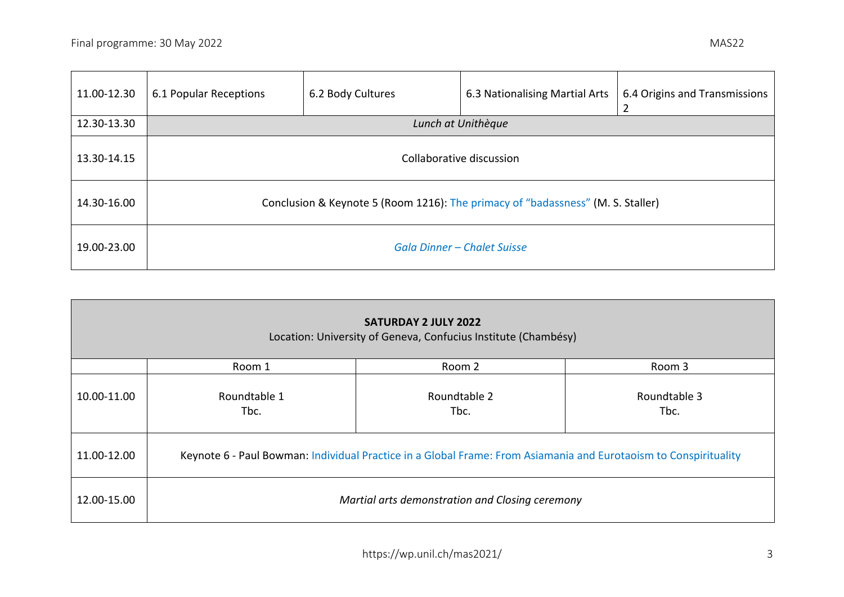12.30-13.30 *Lunch at Unithèque*

11.00-12.30  $\Big| 6.1$  Popular Receptions

| 6.2 Body Cultures | 6.3 Nationalising Martial Arts | 6.4 Origins and Transmissions |
|-------------------|--------------------------------|-------------------------------|
|                   | Lunch at Unithèque             |                               |
|                   |                                |                               |

| 13.30-14.15 | Collaborative discussion                                                        |
|-------------|---------------------------------------------------------------------------------|
| 14.30-16.00 | Conclusion & Keynote 5 (Room 1216): The primacy of "badassness" (M. S. Staller) |
| 19.00-23.00 | <b>Gala Dinner - Chalet Suisse</b>                                              |

|             | <b>SATURDAY 2 JULY 2022</b><br>Location: University of Geneva, Confucius Institute (Chambésy)                    |                      |                      |  |  |
|-------------|------------------------------------------------------------------------------------------------------------------|----------------------|----------------------|--|--|
|             | Room 1                                                                                                           | Room 2               | Room 3               |  |  |
| 10.00-11.00 | Roundtable 1<br>Tbc.                                                                                             | Roundtable 2<br>Tbc. | Roundtable 3<br>Tbc. |  |  |
| 11.00-12.00 | Keynote 6 - Paul Bowman: Individual Practice in a Global Frame: From Asiamania and Eurotaoism to Conspirituality |                      |                      |  |  |
| 12.00-15.00 | Martial arts demonstration and Closing ceremony                                                                  |                      |                      |  |  |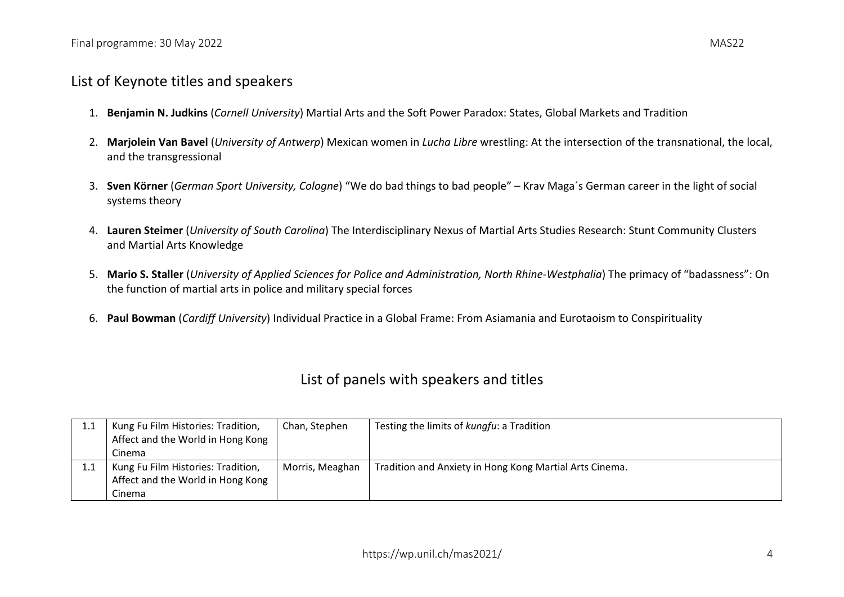## List of Keynote titles and speakers

- 1. **Benjamin N. Judkins** (*Cornell University*) Martial Arts and the Soft Power Paradox: States, Global Markets and Tradition
- 2. **Marjolein Van Bavel** (*University of Antwerp*) Mexican women in *Lucha Libre* wrestling: At the intersection of the transnational, the local, and the transgressional
- 3. **Sven Körner** (*German Sport University, Cologne*) "We do bad things to bad people" Krav Maga´s German career in the light of social systems theory
- 4. **Lauren Steimer** (*University of South Carolina*) The Interdisciplinary Nexus of Martial Arts Studies Research: Stunt Community Clusters and Martial Arts Knowledge
- 5. **Mario S. Staller** (*University of Applied Sciences for Police and Administration, North Rhine-Westphalia*) The primacy of "badassness": On the function of martial arts in police and military special forces
- 6. **Paul Bowman** (*Cardiff University*) Individual Practice in a Global Frame: From Asiamania and Eurotaoism to Conspirituality

## List of panels with speakers and titles

| Kung Fu Film Histories: Tradition, | Chan, Stephen   | Testing the limits of kungfu: a Tradition               |
|------------------------------------|-----------------|---------------------------------------------------------|
| Affect and the World in Hong Kong  |                 |                                                         |
| Cinema                             |                 |                                                         |
| Kung Fu Film Histories: Tradition, | Morris, Meaghan | Tradition and Anxiety in Hong Kong Martial Arts Cinema. |
| Affect and the World in Hong Kong  |                 |                                                         |
| Cinema                             |                 |                                                         |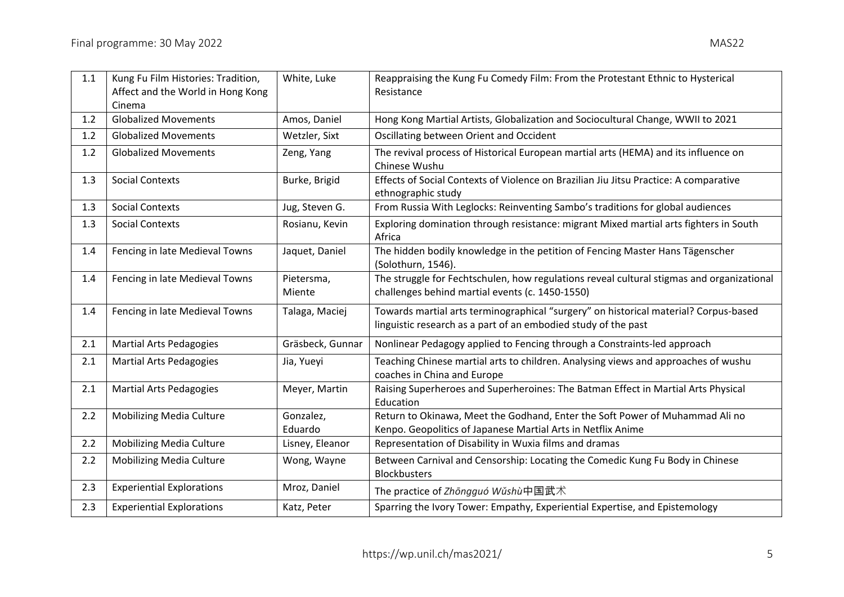| 1.1     | Kung Fu Film Histories: Tradition,    | White, Luke          | Reappraising the Kung Fu Comedy Film: From the Protestant Ethnic to Hysterical                                                                         |
|---------|---------------------------------------|----------------------|--------------------------------------------------------------------------------------------------------------------------------------------------------|
|         | Affect and the World in Hong Kong     |                      | Resistance                                                                                                                                             |
|         | Cinema<br><b>Globalized Movements</b> |                      |                                                                                                                                                        |
| 1.2     |                                       | Amos, Daniel         | Hong Kong Martial Artists, Globalization and Sociocultural Change, WWII to 2021                                                                        |
| 1.2     | <b>Globalized Movements</b>           | Wetzler, Sixt        | Oscillating between Orient and Occident                                                                                                                |
| 1.2     | <b>Globalized Movements</b>           | Zeng, Yang           | The revival process of Historical European martial arts (HEMA) and its influence on<br>Chinese Wushu                                                   |
| 1.3     | <b>Social Contexts</b>                | Burke, Brigid        | Effects of Social Contexts of Violence on Brazilian Jiu Jitsu Practice: A comparative<br>ethnographic study                                            |
| 1.3     | <b>Social Contexts</b>                | Jug, Steven G.       | From Russia With Leglocks: Reinventing Sambo's traditions for global audiences                                                                         |
| 1.3     | <b>Social Contexts</b>                | Rosianu, Kevin       | Exploring domination through resistance: migrant Mixed martial arts fighters in South<br>Africa                                                        |
| 1.4     | Fencing in late Medieval Towns        | Jaquet, Daniel       | The hidden bodily knowledge in the petition of Fencing Master Hans Tägenscher<br>(Solothurn, 1546).                                                    |
| 1.4     | Fencing in late Medieval Towns        | Pietersma,<br>Miente | The struggle for Fechtschulen, how regulations reveal cultural stigmas and organizational<br>challenges behind martial events (c. 1450-1550)           |
| 1.4     | Fencing in late Medieval Towns        | Talaga, Maciej       | Towards martial arts terminographical "surgery" on historical material? Corpus-based<br>linguistic research as a part of an embodied study of the past |
| 2.1     | <b>Martial Arts Pedagogies</b>        | Gräsbeck, Gunnar     | Nonlinear Pedagogy applied to Fencing through a Constraints-led approach                                                                               |
| $2.1\,$ | <b>Martial Arts Pedagogies</b>        | Jia, Yueyi           | Teaching Chinese martial arts to children. Analysing views and approaches of wushu<br>coaches in China and Europe                                      |
| 2.1     | <b>Martial Arts Pedagogies</b>        | Meyer, Martin        | Raising Superheroes and Superheroines: The Batman Effect in Martial Arts Physical<br>Education                                                         |
| 2.2     | <b>Mobilizing Media Culture</b>       | Gonzalez,<br>Eduardo | Return to Okinawa, Meet the Godhand, Enter the Soft Power of Muhammad Ali no<br>Kenpo. Geopolitics of Japanese Martial Arts in Netflix Anime           |
| 2.2     | <b>Mobilizing Media Culture</b>       | Lisney, Eleanor      | Representation of Disability in Wuxia films and dramas                                                                                                 |
| 2.2     | <b>Mobilizing Media Culture</b>       | Wong, Wayne          | Between Carnival and Censorship: Locating the Comedic Kung Fu Body in Chinese<br><b>Blockbusters</b>                                                   |
| 2.3     | <b>Experiential Explorations</b>      | Mroz, Daniel         | The practice of Zhōngguó Wǔshù中国武术                                                                                                                     |
| 2.3     | <b>Experiential Explorations</b>      | Katz, Peter          | Sparring the Ivory Tower: Empathy, Experiential Expertise, and Epistemology                                                                            |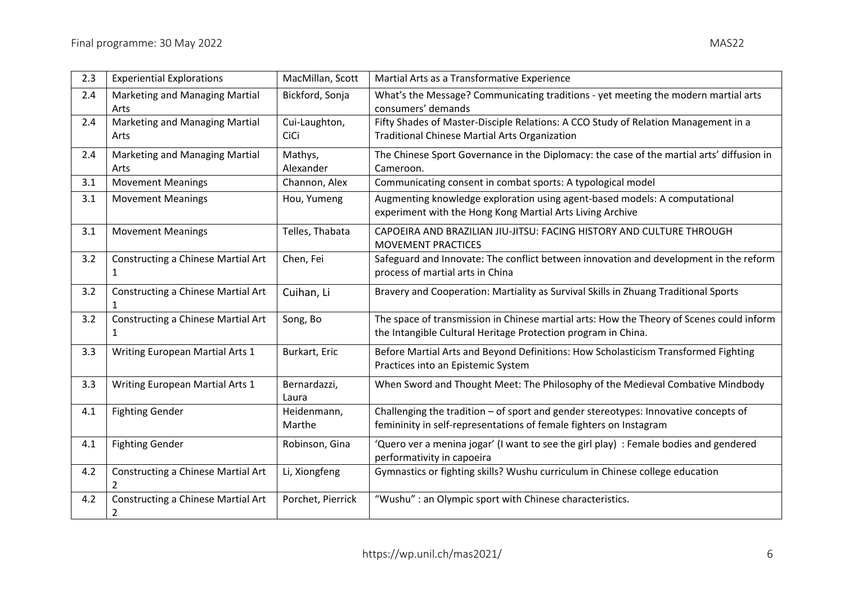| 2.3 | <b>Experiential Explorations</b>                           | MacMillan, Scott      | Martial Arts as a Transformative Experience                                                                                                               |
|-----|------------------------------------------------------------|-----------------------|-----------------------------------------------------------------------------------------------------------------------------------------------------------|
| 2.4 | Marketing and Managing Martial<br>Arts                     | Bickford, Sonja       | What's the Message? Communicating traditions - yet meeting the modern martial arts<br>consumers' demands                                                  |
| 2.4 | Marketing and Managing Martial<br>Arts                     | Cui-Laughton,<br>CiCi | Fifty Shades of Master-Disciple Relations: A CCO Study of Relation Management in a<br><b>Traditional Chinese Martial Arts Organization</b>                |
| 2.4 | Marketing and Managing Martial<br>Arts                     | Mathys,<br>Alexander  | The Chinese Sport Governance in the Diplomacy: the case of the martial arts' diffusion in<br>Cameroon.                                                    |
| 3.1 | <b>Movement Meanings</b>                                   | Channon, Alex         | Communicating consent in combat sports: A typological model                                                                                               |
| 3.1 | <b>Movement Meanings</b>                                   | Hou, Yumeng           | Augmenting knowledge exploration using agent-based models: A computational<br>experiment with the Hong Kong Martial Arts Living Archive                   |
| 3.1 | <b>Movement Meanings</b>                                   | Telles, Thabata       | CAPOEIRA AND BRAZILIAN JIU-JITSU: FACING HISTORY AND CULTURE THROUGH<br><b>MOVEMENT PRACTICES</b>                                                         |
| 3.2 | <b>Constructing a Chinese Martial Art</b><br>1             | Chen, Fei             | Safeguard and Innovate: The conflict between innovation and development in the reform<br>process of martial arts in China                                 |
| 3.2 | Constructing a Chinese Martial Art                         | Cuihan, Li            | Bravery and Cooperation: Martiality as Survival Skills in Zhuang Traditional Sports                                                                       |
| 3.2 | <b>Constructing a Chinese Martial Art</b><br>1             | Song, Bo              | The space of transmission in Chinese martial arts: How the Theory of Scenes could inform<br>the Intangible Cultural Heritage Protection program in China. |
| 3.3 | Writing European Martial Arts 1                            | Burkart, Eric         | Before Martial Arts and Beyond Definitions: How Scholasticism Transformed Fighting<br>Practices into an Epistemic System                                  |
| 3.3 | Writing European Martial Arts 1                            | Bernardazzi,<br>Laura | When Sword and Thought Meet: The Philosophy of the Medieval Combative Mindbody                                                                            |
| 4.1 | <b>Fighting Gender</b>                                     | Heidenmann,<br>Marthe | Challenging the tradition - of sport and gender stereotypes: Innovative concepts of<br>femininity in self-representations of female fighters on Instagram |
| 4.1 | <b>Fighting Gender</b>                                     | Robinson, Gina        | 'Quero ver a menina jogar' (I want to see the girl play) : Female bodies and gendered<br>performativity in capoeira                                       |
| 4.2 | <b>Constructing a Chinese Martial Art</b><br>$\mathcal{P}$ | Li, Xiongfeng         | Gymnastics or fighting skills? Wushu curriculum in Chinese college education                                                                              |
| 4.2 | <b>Constructing a Chinese Martial Art</b><br>2             | Porchet, Pierrick     | "Wushu" : an Olympic sport with Chinese characteristics.                                                                                                  |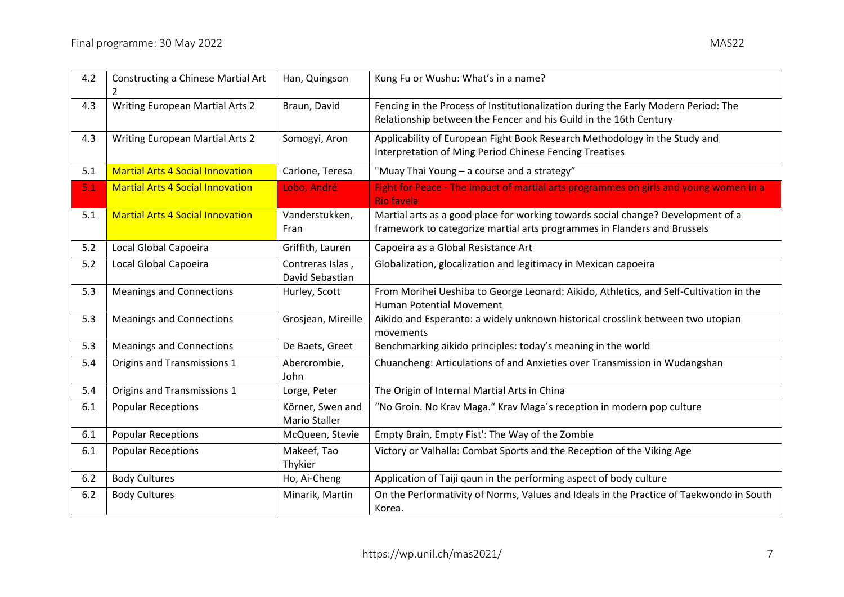| 4.2 | Constructing a Chinese Martial Art<br>2 | Han, Quingson                            | Kung Fu or Wushu: What's in a name?                                                                                                                          |
|-----|-----------------------------------------|------------------------------------------|--------------------------------------------------------------------------------------------------------------------------------------------------------------|
| 4.3 | <b>Writing European Martial Arts 2</b>  | Braun, David                             | Fencing in the Process of Institutionalization during the Early Modern Period: The<br>Relationship between the Fencer and his Guild in the 16th Century      |
| 4.3 | <b>Writing European Martial Arts 2</b>  | Somogyi, Aron                            | Applicability of European Fight Book Research Methodology in the Study and<br>Interpretation of Ming Period Chinese Fencing Treatises                        |
| 5.1 | <b>Martial Arts 4 Social Innovation</b> | Carlone, Teresa                          | "Muay Thai Young - a course and a strategy"                                                                                                                  |
| 5.1 | <b>Martial Arts 4 Social Innovation</b> | Lobo, André                              | Fight for Peace - The impact of martial arts programmes on girls and young women in a<br><b>Rio favela</b>                                                   |
| 5.1 | <b>Martial Arts 4 Social Innovation</b> | Vanderstukken,<br>Fran                   | Martial arts as a good place for working towards social change? Development of a<br>framework to categorize martial arts programmes in Flanders and Brussels |
| 5.2 | Local Global Capoeira                   | Griffith, Lauren                         | Capoeira as a Global Resistance Art                                                                                                                          |
| 5.2 | Local Global Capoeira                   | Contreras Islas,<br>David Sebastian      | Globalization, glocalization and legitimacy in Mexican capoeira                                                                                              |
| 5.3 | <b>Meanings and Connections</b>         | Hurley, Scott                            | From Morihei Ueshiba to George Leonard: Aikido, Athletics, and Self-Cultivation in the<br><b>Human Potential Movement</b>                                    |
| 5.3 | <b>Meanings and Connections</b>         | Grosjean, Mireille                       | Aikido and Esperanto: a widely unknown historical crosslink between two utopian<br>movements                                                                 |
| 5.3 | <b>Meanings and Connections</b>         | De Baets, Greet                          | Benchmarking aikido principles: today's meaning in the world                                                                                                 |
| 5.4 | Origins and Transmissions 1             | Abercrombie,<br>John                     | Chuancheng: Articulations of and Anxieties over Transmission in Wudangshan                                                                                   |
| 5.4 | Origins and Transmissions 1             | Lorge, Peter                             | The Origin of Internal Martial Arts in China                                                                                                                 |
| 6.1 | <b>Popular Receptions</b>               | Körner, Swen and<br><b>Mario Staller</b> | "No Groin. No Krav Maga." Krav Maga's reception in modern pop culture                                                                                        |
| 6.1 | <b>Popular Receptions</b>               | McQueen, Stevie                          | Empty Brain, Empty Fist': The Way of the Zombie                                                                                                              |
| 6.1 | <b>Popular Receptions</b>               | Makeef, Tao<br>Thykier                   | Victory or Valhalla: Combat Sports and the Reception of the Viking Age                                                                                       |
| 6.2 | <b>Body Cultures</b>                    | Ho, Ai-Cheng                             | Application of Taiji qaun in the performing aspect of body culture                                                                                           |
| 6.2 | <b>Body Cultures</b>                    | Minarik, Martin                          | On the Performativity of Norms, Values and Ideals in the Practice of Taekwondo in South                                                                      |

Korea.